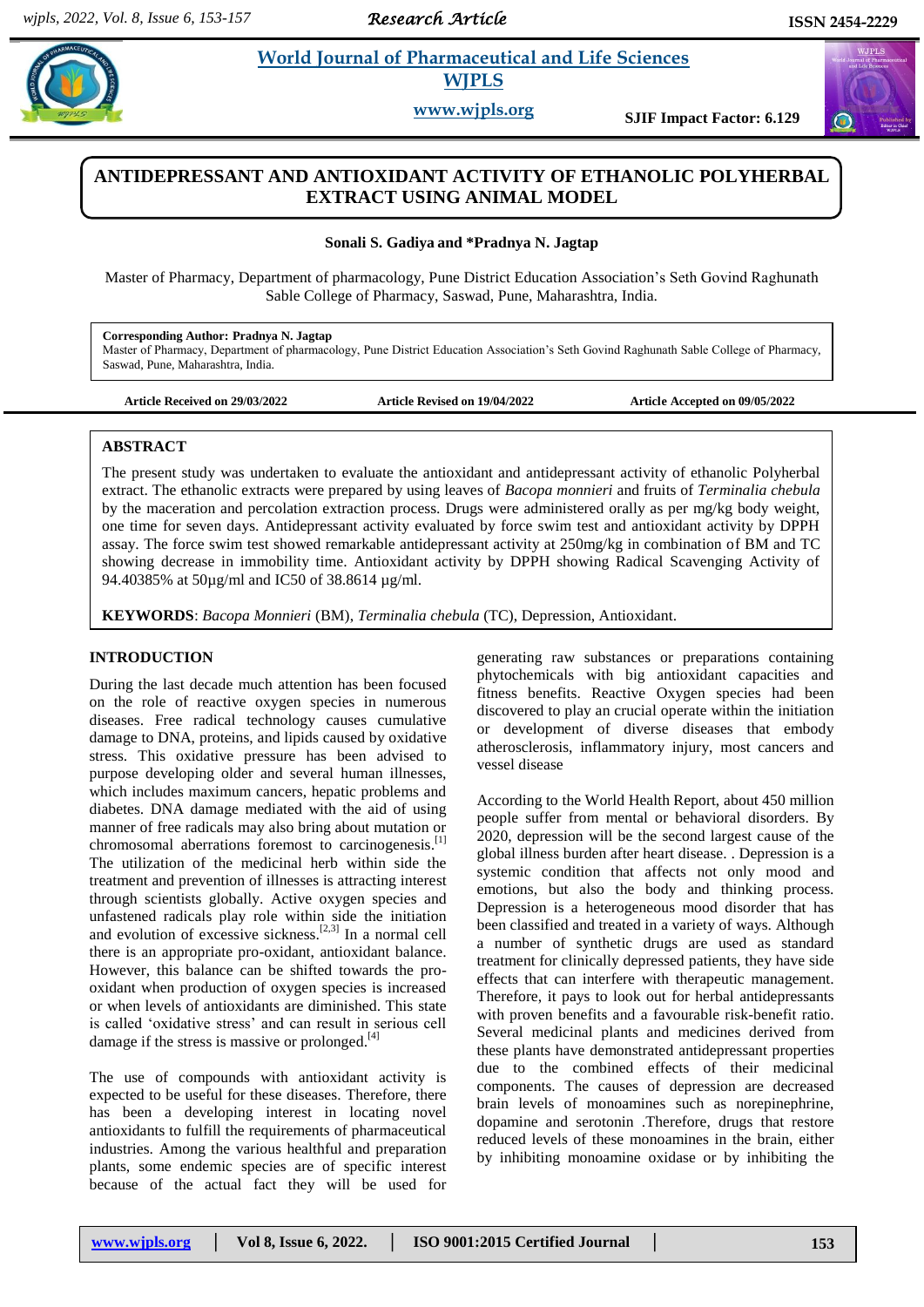*Research Article* 

 $\alpha$ 

# **Paramaceutical and Life Sciences WJPLS**

**www.wjpls.org SJIF Impact Factor: 6.129**

# **ANTIDEPRESSANT AND ANTIOXIDANT ACTIVITY OF ETHANOLIC POLYHERBAL EXTRACT USING ANIMAL MODEL**

**Sonali S. Gadiya and \*Pradnya N. Jagtap**

Master of Pharmacy, Department of pharmacology, Pune District Education Association's Seth Govind Raghunath Sable College of Pharmacy, Saswad, Pune, Maharashtra, India.

**Corresponding Author: Pradnya N. Jagtap**

Master of Pharmacy, Department of pharmacology, Pune District Education Association's Seth Govind Raghunath Sable College of Pharmacy, Saswad, Pune, Maharashtra, India.

**Article Received on 29/03/2022 Article Revised on 19/04/2022 Article Accepted on 09/05/2022**

#### **ABSTRACT**

The present study was undertaken to evaluate the antioxidant and antidepressant activity of ethanolic Polyherbal extract. The ethanolic extracts were prepared by using leaves of *Bacopa monnieri* and fruits of *Terminalia chebula* by the maceration and percolation extraction process. Drugs were administered orally as per mg/kg body weight, one time for seven days. Antidepressant activity evaluated by force swim test and antioxidant activity by DPPH assay. The force swim test showed remarkable antidepressant activity at 250mg/kg in combination of BM and TC showing decrease in immobility time. Antioxidant activity by DPPH showing Radical Scavenging Activity of 94.40385% at 50µg/ml and IC50 of 38.8614 µg/ml.

**KEYWORDS**: *Bacopa Monnieri* (BM), *Terminalia chebula* (TC), Depression, Antioxidant.

# **INTRODUCTION**

During the last decade much attention has been focused on the role of reactive oxygen species in numerous diseases. Free radical technology causes cumulative damage to DNA, proteins, and lipids caused by oxidative stress. This oxidative pressure has been advised to purpose developing older and several human illnesses, which includes maximum cancers, hepatic problems and diabetes. DNA damage mediated with the aid of using manner of free radicals may also bring about mutation or chromosomal aberrations foremost to carcinogenesis.<sup>[1]</sup> The utilization of the medicinal herb within side the treatment and prevention of illnesses is attracting interest through scientists globally. Active oxygen species and unfastened radicals play role within side the initiation and evolution of excessive sickness.<sup>[2,3]</sup> In a normal cell there is an appropriate pro-oxidant, antioxidant balance. However, this balance can be shifted towards the prooxidant when production of oxygen species is increased or when levels of antioxidants are diminished. This state is called 'oxidative stress' and can result in serious cell damage if the stress is massive or prolonged. $[4]$ 

The use of compounds with antioxidant activity is expected to be useful for these diseases. Therefore, there has been a developing interest in locating novel antioxidants to fulfill the requirements of pharmaceutical industries. Among the various healthful and preparation plants, some endemic species are of specific interest because of the actual fact they will be used for

generating raw substances or preparations containing phytochemicals with big antioxidant capacities and fitness benefits. Reactive Oxygen species had been discovered to play an crucial operate within the initiation or development of diverse diseases that embody atherosclerosis, inflammatory injury, most cancers and vessel disease

According to the World Health Report, about 450 million people suffer from mental or behavioral disorders. By 2020, depression will be the second largest cause of the global illness burden after heart disease. . Depression is a systemic condition that affects not only mood and emotions, but also the body and thinking process. Depression is a heterogeneous mood disorder that has been classified and treated in a variety of ways. Although a number of synthetic drugs are used as standard treatment for clinically depressed patients, they have side effects that can interfere with therapeutic management. Therefore, it pays to look out for herbal antidepressants with proven benefits and a favourable risk-benefit ratio. Several medicinal plants and medicines derived from these plants have demonstrated antidepressant properties due to the combined effects of their medicinal components. The causes of depression are decreased brain levels of monoamines such as norepinephrine, dopamine and serotonin .Therefore, drugs that restore reduced levels of these monoamines in the brain, either by inhibiting monoamine oxidase or by inhibiting the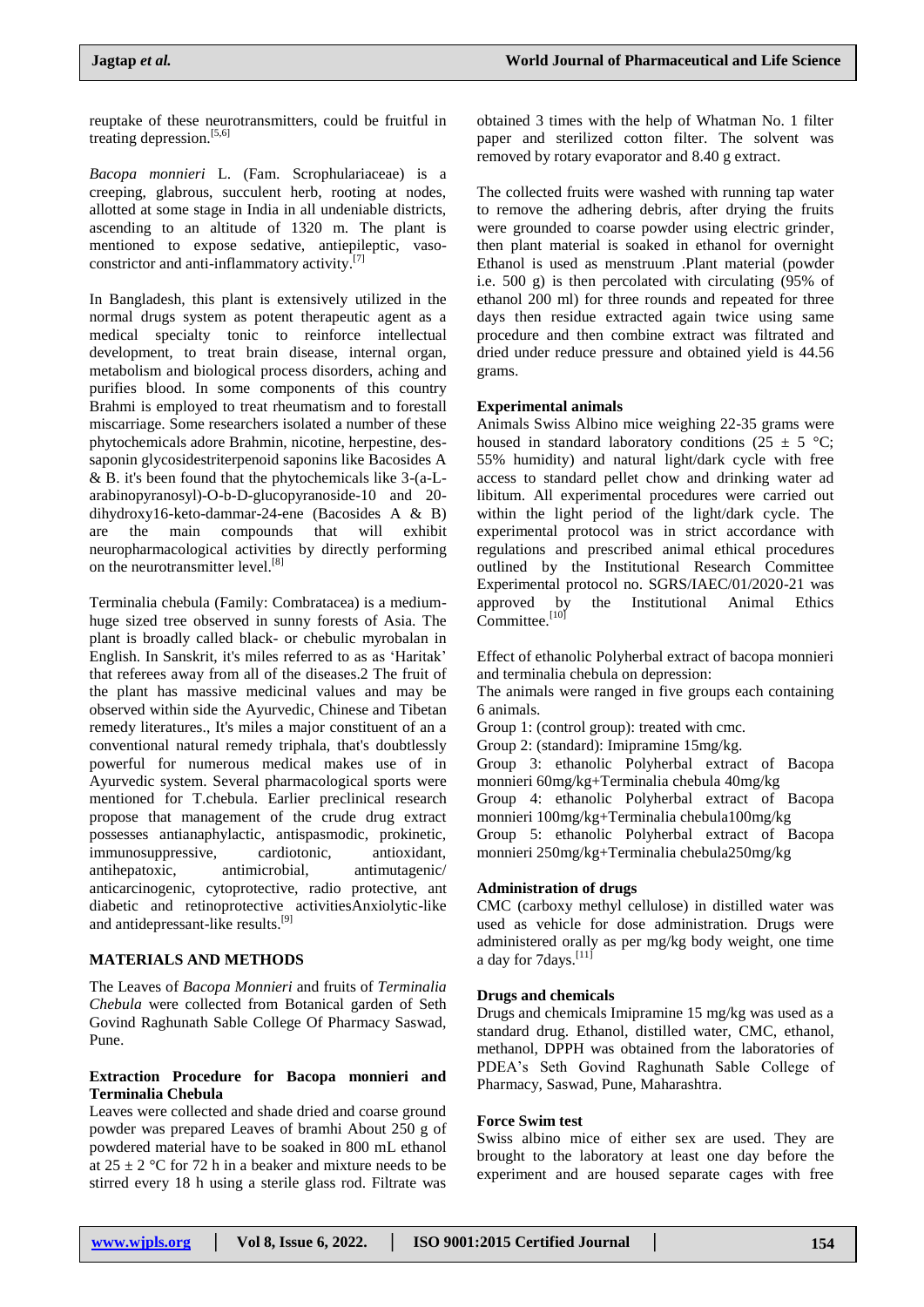reuptake of these neurotransmitters, could be fruitful in treating depression.<sup>[5,6]</sup>

*Bacopa monnieri* L. (Fam. Scrophulariaceae) is a creeping, glabrous, succulent herb, rooting at nodes, allotted at some stage in India in all undeniable districts, ascending to an altitude of 1320 m. The plant is mentioned to expose sedative, antiepileptic, vasoconstrictor and anti-inflammatory activity. [7]

In Bangladesh, this plant is extensively utilized in the normal drugs system as potent therapeutic agent as a medical specialty tonic to reinforce intellectual development, to treat brain disease, internal organ, metabolism and biological process disorders, aching and purifies blood. In some components of this country Brahmi is employed to treat rheumatism and to forestall miscarriage. Some researchers isolated a number of these phytochemicals adore Brahmin, nicotine, herpestine, dessaponin glycosidestriterpenoid saponins like Bacosides A & B. it's been found that the phytochemicals like 3-(a-Larabinopyranosyl)-O-b-D-glucopyranoside-10 and 20 dihydroxy16-keto-dammar-24-ene (Bacosides A & B) are the main compounds that will exhibit neuropharmacological activities by directly performing on the neurotransmitter level.<sup>[8]</sup>

Terminalia chebula (Family: Combratacea) is a mediumhuge sized tree observed in sunny forests of Asia. The plant is broadly called black- or chebulic myrobalan in English. In Sanskrit, it's miles referred to as as 'Haritak' that referees away from all of the diseases.2 The fruit of the plant has massive medicinal values and may be observed within side the Ayurvedic, Chinese and Tibetan remedy literatures., It's miles a major constituent of an a conventional natural remedy triphala, that's doubtlessly powerful for numerous medical makes use of in Ayurvedic system. Several pharmacological sports were mentioned for T.chebula. Earlier preclinical research propose that management of the crude drug extract possesses antianaphylactic, antispasmodic, prokinetic, immunosuppressive, cardiotonic, antioxidant, antihepatoxic, antimicrobial, antimutagenic/ anticarcinogenic, cytoprotective, radio protective, ant diabetic and retinoprotective activitiesAnxiolytic-like and antidepressant-like results.<sup>[9]</sup>

#### **MATERIALS AND METHODS**

The Leaves of *Bacopa Monnieri* and fruits of *Terminalia Chebula* were collected from Botanical garden of Seth Govind Raghunath Sable College Of Pharmacy Saswad, Pune.

## **Extraction Procedure for Bacopa monnieri and Terminalia Chebula**

Leaves were collected and shade dried and coarse ground powder was prepared Leaves of bramhi About 250 g of powdered material have to be soaked in 800 mL ethanol at  $25 \pm 2$  °C for 72 h in a beaker and mixture needs to be stirred every 18 h using a sterile glass rod. Filtrate was

obtained 3 times with the help of Whatman No. 1 filter paper and sterilized cotton filter. The solvent was removed by rotary evaporator and 8.40 g extract.

The collected fruits were washed with running tap water to remove the adhering debris, after drying the fruits were grounded to coarse powder using electric grinder, then plant material is soaked in ethanol for overnight Ethanol is used as menstruum .Plant material (powder i.e. 500 g) is then percolated with circulating (95% of ethanol 200 ml) for three rounds and repeated for three days then residue extracted again twice using same procedure and then combine extract was filtrated and dried under reduce pressure and obtained yield is 44.56 grams.

#### **Experimental animals**

Animals Swiss Albino mice weighing 22-35 grams were housed in standard laboratory conditions (25  $\pm$  5 °C; 55% humidity) and natural light/dark cycle with free access to standard pellet chow and drinking water ad libitum. All experimental procedures were carried out within the light period of the light/dark cycle. The experimental protocol was in strict accordance with regulations and prescribed animal ethical procedures outlined by the Institutional Research Committee Experimental protocol no. SGRS/IAEC/01/2020-21 was the Institutional Animal Ethics approved by  $\overline{Committee}$ .  $^{[10]}$ 

Effect of ethanolic Polyherbal extract of bacopa monnieri and terminalia chebula on depression:

The animals were ranged in five groups each containing 6 animals.

Group 1: (control group): treated with cmc.

Group 2: (standard): Imipramine 15mg/kg.

Group 3: ethanolic Polyherbal extract of Bacopa monnieri 60mg/kg+Terminalia chebula 40mg/kg

Group 4: ethanolic Polyherbal extract of Bacopa monnieri 100mg/kg+Terminalia chebula100mg/kg

Group 5: ethanolic Polyherbal extract of Bacopa monnieri 250mg/kg+Terminalia chebula250mg/kg

#### **Administration of drugs**

CMC (carboxy methyl cellulose) in distilled water was used as vehicle for dose administration. Drugs were administered orally as per mg/kg body weight, one time a day for 7days.<sup>[11]</sup>

#### **Drugs and chemicals**

Drugs and chemicals Imipramine 15 mg/kg was used as a standard drug. Ethanol, distilled water, CMC, ethanol, methanol, DPPH was obtained from the laboratories of PDEA's Seth Govind Raghunath Sable College of Pharmacy, Saswad, Pune, Maharashtra.

#### **Force Swim test**

Swiss albino mice of either sex are used. They are brought to the laboratory at least one day before the experiment and are housed separate cages with free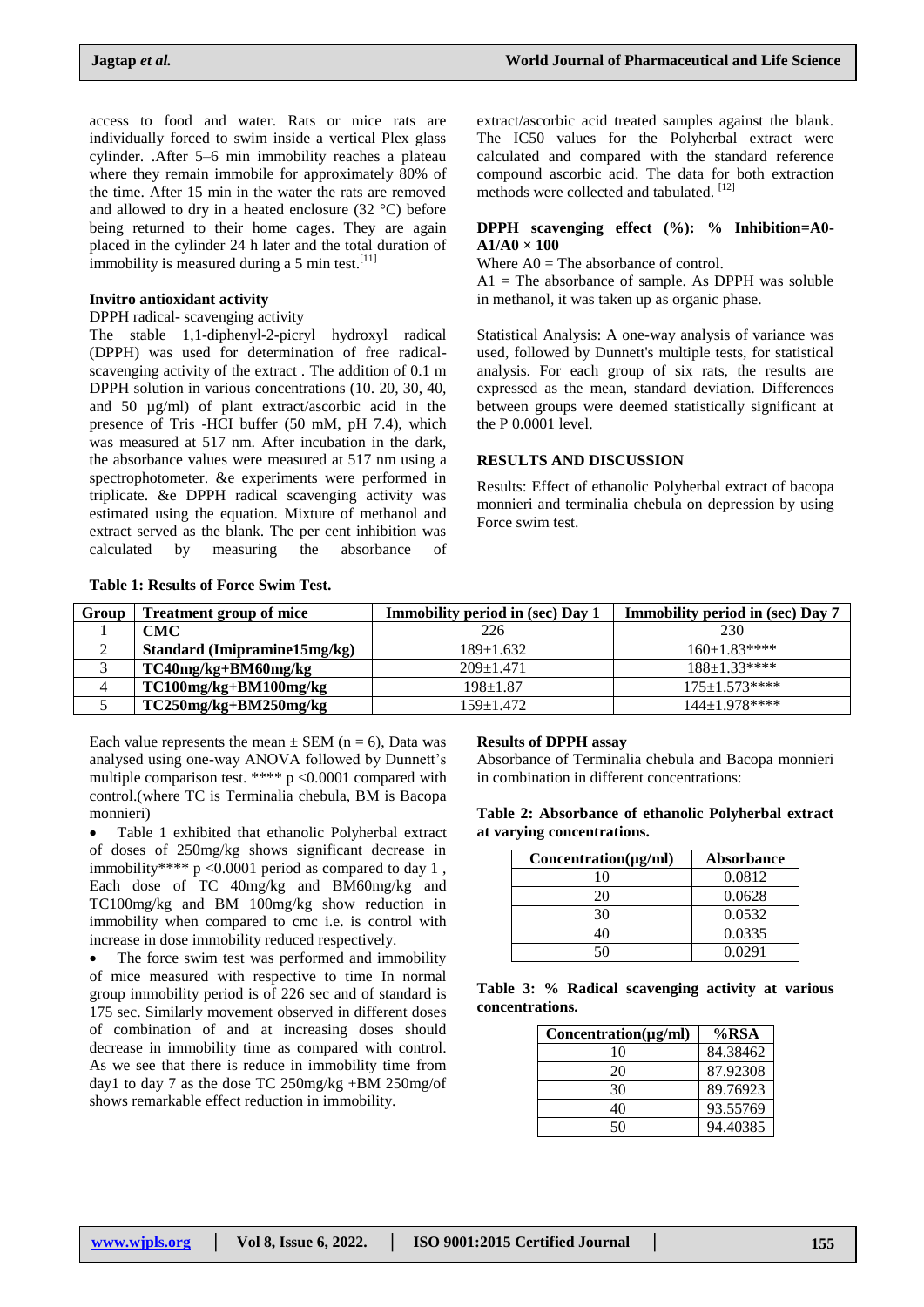access to food and water. Rats or mice rats are individually forced to swim inside a vertical Plex glass cylinder. .After 5–6 min immobility reaches a plateau where they remain immobile for approximately 80% of the time. After 15 min in the water the rats are removed and allowed to dry in a heated enclosure (32 °C) before being returned to their home cages. They are again placed in the cylinder 24 h later and the total duration of immobility is measured during a 5 min test. $[11]$ 

#### **Invitro antioxidant activity**

DPPH radical- scavenging activity

The stable 1,1-diphenyl-2-picryl hydroxyl radical (DPPH) was used for determination of free radicalscavenging activity of the extract . The addition of 0.1 m DPPH solution in various concentrations (10. 20, 30, 40, and 50 µg/ml) of plant extract/ascorbic acid in the presence of Tris -HCI buffer (50 mM, pH 7.4), which was measured at 517 nm. After incubation in the dark, the absorbance values were measured at 517 nm using a spectrophotometer. &e experiments were performed in triplicate. &e DPPH radical scavenging activity was estimated using the equation. Mixture of methanol and extract served as the blank. The per cent inhibition was calculated by measuring the absorbance of

extract/ascorbic acid treated samples against the blank. The IC50 values for the Polyherbal extract were calculated and compared with the standard reference compound ascorbic acid. The data for both extraction methods were collected and tabulated. [12]

#### **DPPH scavenging effect (%): % Inhibition=A0- A1/A0 × 100**

Where  $AO = The absorbance of control$ .

 $A1$  = The absorbance of sample. As DPPH was soluble in methanol, it was taken up as organic phase.

Statistical Analysis: A one-way analysis of variance was used, followed by Dunnett's multiple tests, for statistical analysis. For each group of six rats, the results are expressed as the mean, standard deviation. Differences between groups were deemed statistically significant at the P 0.0001 level.

#### **RESULTS AND DISCUSSION**

Results: Effect of ethanolic Polyherbal extract of bacopa monnieri and terminalia chebula on depression by using Force swim test.

# **Table 1: Results of Force Swim Test.**

| Group | <b>Treatment group of mice</b> | <b>Immobility period in (sec) Day 1</b> | <b>Immobility period in (sec) Day 7</b> |
|-------|--------------------------------|-----------------------------------------|-----------------------------------------|
|       | CMC                            | 226                                     | 230                                     |
|       | Standard (Imipramine15mg/kg)   | $189+1.632$                             | $160 \pm 1.83$ ****                     |
|       | TC40mg/kg+BM60mg/kg            | $209+1.471$                             | $188 \pm 1.33***$                       |
|       | TC100mg/kg+BM100mg/kg          | $198+1.87$                              | $175 \pm 1.573$ ****                    |
|       | $TC250mg/kg + BM250mg/kg$      | 159±1.472                               | $144+1.978***$                          |

Each value represents the mean  $\pm$  SEM (n = 6), Data was analysed using one-way ANOVA followed by Dunnett's multiple comparison test. \*\*\*\* p <0.0001 compared with control.(where TC is Terminalia chebula, BM is Bacopa monnieri)

• Table 1 exhibited that ethanolic Polyherbal extract of doses of 250mg/kg shows significant decrease in immobility\*\*\*\* p <0.0001 period as compared to day 1 , Each dose of TC 40mg/kg and BM60mg/kg and TC100mg/kg and BM 100mg/kg show reduction in immobility when compared to cmc i.e. is control with increase in dose immobility reduced respectively.

 The force swim test was performed and immobility of mice measured with respective to time In normal group immobility period is of 226 sec and of standard is 175 sec. Similarly movement observed in different doses of combination of and at increasing doses should decrease in immobility time as compared with control. As we see that there is reduce in immobility time from day1 to day 7 as the dose TC 250mg/kg +BM 250mg/of shows remarkable effect reduction in immobility.

#### **Results of DPPH assay**

Absorbance of Terminalia chebula and Bacopa monnieri in combination in different concentrations:

|  |                            |  | Table 2: Absorbance of ethanolic Polyherbal extract |  |
|--|----------------------------|--|-----------------------------------------------------|--|
|  | at varying concentrations. |  |                                                     |  |

| $Concentration(\mu g/ml)$ | <b>Absorbance</b> |
|---------------------------|-------------------|
| 10                        | 0.0812            |
| 20                        | 0.0628            |
| 30                        | 0.0532            |
| 40                        | 0.0335            |
|                           | 0.0291            |

|                 |  | Table 3: % Radical scavenging activity at various |  |  |
|-----------------|--|---------------------------------------------------|--|--|
| concentrations. |  |                                                   |  |  |

| $Concentration(\mu g/ml)$ | $%$ RSA  |
|---------------------------|----------|
| 10                        | 84.38462 |
| 20                        | 87.92308 |
| 30                        | 89.76923 |
| 40                        | 93.55769 |
| 5Λ                        | 94.40385 |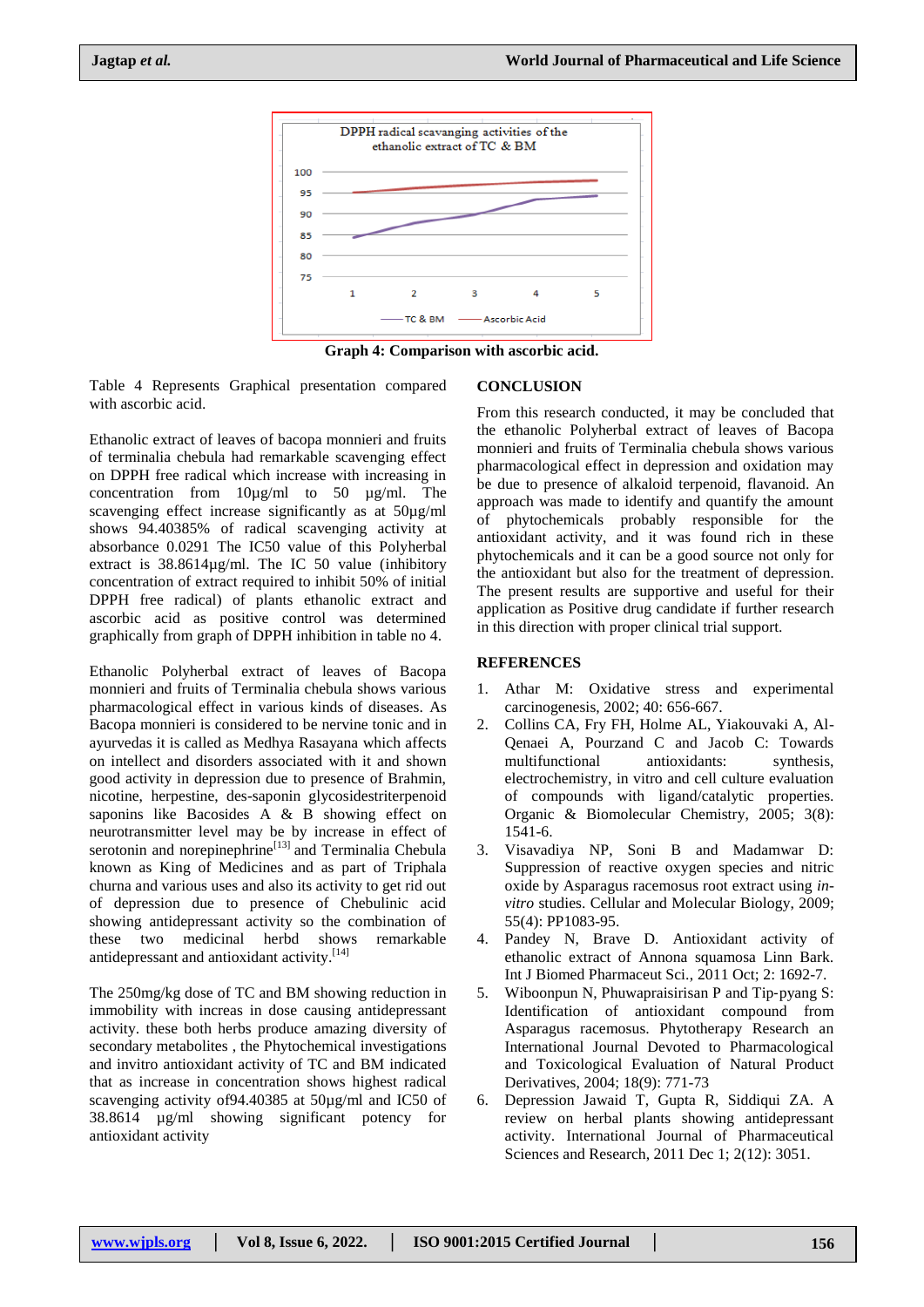

**Graph 4: Comparison with ascorbic acid.**

Table 4 Represents Graphical presentation compared with ascorbic acid.

Ethanolic extract of leaves of bacopa monnieri and fruits of terminalia chebula had remarkable scavenging effect on DPPH free radical which increase with increasing in concentration from 10µg/ml to 50 µg/ml. The scavenging effect increase significantly as at 50µg/ml shows 94.40385% of radical scavenging activity at absorbance 0.0291 The IC50 value of this Polyherbal extract is 38.8614µg/ml. The IC 50 value (inhibitory concentration of extract required to inhibit 50% of initial DPPH free radical) of plants ethanolic extract and ascorbic acid as positive control was determined graphically from graph of DPPH inhibition in table no 4.

Ethanolic Polyherbal extract of leaves of Bacopa monnieri and fruits of Terminalia chebula shows various pharmacological effect in various kinds of diseases. As Bacopa monnieri is considered to be nervine tonic and in ayurvedas it is called as Medhya Rasayana which affects on intellect and disorders associated with it and shown good activity in depression due to presence of Brahmin, nicotine, herpestine, des-saponin glycosidestriterpenoid saponins like Bacosides A & B showing effect on neurotransmitter level may be by increase in effect of serotonin and norepinephrine $\left[13\right]$  and Terminalia Chebula known as King of Medicines and as part of Triphala churna and various uses and also its activity to get rid out of depression due to presence of Chebulinic acid showing antidepressant activity so the combination of these two medicinal herbd shows remarkable antidepressant and antioxidant activity.<sup>[14]</sup>

The 250mg/kg dose of TC and BM showing reduction in immobility with increas in dose causing antidepressant activity. these both herbs produce amazing diversity of secondary metabolites , the Phytochemical investigations and invitro antioxidant activity of TC and BM indicated that as increase in concentration shows highest radical scavenging activity of94.40385 at 50µg/ml and IC50 of 38.8614 µg/ml showing significant potency for antioxidant activity

# **CONCLUSION**

From this research conducted, it may be concluded that the ethanolic Polyherbal extract of leaves of Bacopa monnieri and fruits of Terminalia chebula shows various pharmacological effect in depression and oxidation may be due to presence of alkaloid terpenoid, flavanoid. An approach was made to identify and quantify the amount of phytochemicals probably responsible for the antioxidant activity, and it was found rich in these phytochemicals and it can be a good source not only for the antioxidant but also for the treatment of depression. The present results are supportive and useful for their application as Positive drug candidate if further research in this direction with proper clinical trial support.

# **REFERENCES**

- 1. Athar M: Oxidative stress and experimental carcinogenesis, 2002; 40: 656-667.
- 2. Collins CA, Fry FH, Holme AL, Yiakouvaki A, Al-Qenaei A, Pourzand C and Jacob C: Towards multifunctional antioxidants: synthesis, electrochemistry, in vitro and cell culture evaluation of compounds with ligand/catalytic properties. Organic & Biomolecular Chemistry, 2005; 3(8): 1541-6.
- 3. Visavadiya NP, Soni B and Madamwar D: Suppression of reactive oxygen species and nitric oxide by Asparagus racemosus root extract using *invitro* studies. Cellular and Molecular Biology, 2009; 55(4): PP1083-95.
- 4. Pandey N, Brave D. Antioxidant activity of ethanolic extract of Annona squamosa Linn Bark. Int J Biomed Pharmaceut Sci., 2011 Oct; 2: 1692-7.
- 5. Wiboonpun N, Phuwapraisirisan P and Tip-pyang S: Identification of antioxidant compound from Asparagus racemosus. Phytotherapy Research an International Journal Devoted to Pharmacological and Toxicological Evaluation of Natural Product Derivatives, 2004; 18(9): 771-73
- 6. Depression Jawaid T, Gupta R, Siddiqui ZA. A review on herbal plants showing antidepressant activity. International Journal of Pharmaceutical Sciences and Research, 2011 Dec 1; 2(12): 3051.